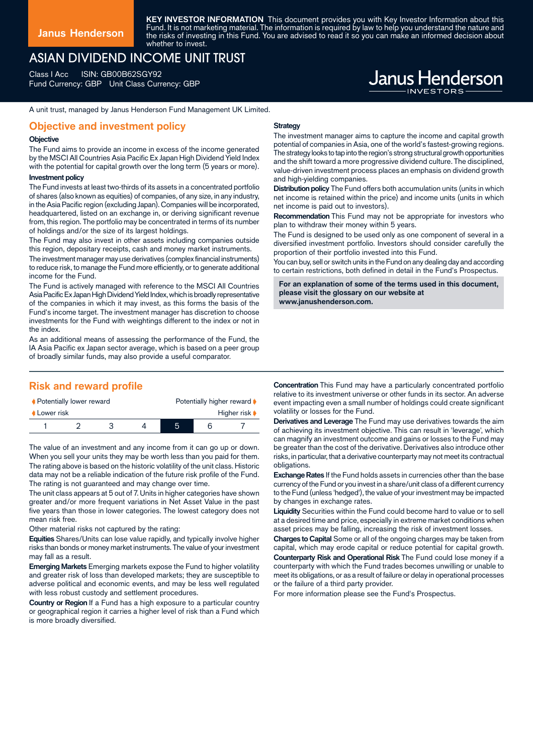**KEY INVESTOR INFORMATION** This document provides you with Key Investor Information about this Fund. It is not marketing material. The information is required by law to help you understand the nature and the risks of investing in this Fund. You are advised to read it so you can make an informed decision about whether to invest.

# ASIAN DIVIDEND INCOME UNIT TRUST

Class I Acc ISIN: GB00B62SGY92 Fund Currency: GBP Unit Class Currency: GBP

# **Janus Henderson**

A unit trust, managed by Janus Henderson Fund Management UK Limited.

#### **Objective and investment policy**

#### **Objective**

The Fund aims to provide an income in excess of the income generated by the MSCI All Countries Asia Pacific Ex Japan High Dividend Yield Index with the potential for capital growth over the long term (5 years or more).

#### **Investment policy**

The Fund invests at least two-thirds of its assets in a concentrated portfolio of shares (also known as equities) of companies, of any size, in any industry, in the Asia Pacific region (excluding Japan). Companies will be incorporated, headquartered, listed on an exchange in, or deriving significant revenue from, this region. The portfolio may be concentrated in terms of its number of holdings and/or the size of its largest holdings.

The Fund may also invest in other assets including companies outside this region, depositary receipts, cash and money market instruments.

The investment manager may use derivatives (complex financial instruments) to reduce risk, to manage the Fund more efficiently, or to generate additional income for the Fund.

The Fund is actively managed with reference to the MSCI All Countries Asia Pacific Ex Japan High Dividend Yield Index, which is broadly representative of the companies in which it may invest, as this forms the basis of the Fund's income target. The investment manager has discretion to choose investments for the Fund with weightings different to the index or not in the index.

As an additional means of assessing the performance of the Fund, the IA Asia Pacific ex Japan sector average, which is based on a peer group of broadly similar funds, may also provide a useful comparator.

## **Risk and reward profile**

| ♦ Potentially lower reward |  |  |  | Potentially higher reward |  |                                   |
|----------------------------|--|--|--|---------------------------|--|-----------------------------------|
| Lower risk                 |  |  |  |                           |  | Higher risk $\blacktriangleright$ |
|                            |  |  |  | h                         |  |                                   |

The value of an investment and any income from it can go up or down. When you sell your units they may be worth less than you paid for them. The rating above is based on the historic volatility of the unit class. Historic data may not be a reliable indication of the future risk profile of the Fund. The rating is not guaranteed and may change over time.

The unit class appears at 5 out of 7. Units in higher categories have shown greater and/or more frequent variations in Net Asset Value in the past five years than those in lower categories. The lowest category does not mean risk free.

Other material risks not captured by the rating:

**Equities** Shares/Units can lose value rapidly, and typically involve higher risks than bonds or money market instruments. The value of your investment may fall as a result.

**Emerging Markets** Emerging markets expose the Fund to higher volatility and greater risk of loss than developed markets; they are susceptible to adverse political and economic events, and may be less well regulated with less robust custody and settlement procedures.

**Country or Region** If a Fund has a high exposure to a particular country or geographical region it carries a higher level of risk than a Fund which is more broadly diversified.

#### **Strategy**

The investment manager aims to capture the income and capital growth potential of companies in Asia, one of the world's fastest-growing regions. The strategy looks to tap into the region's strong structural growth opportunities and the shift toward a more progressive dividend culture. The disciplined, value-driven investment process places an emphasis on dividend growth and high-yielding companies.

**Distribution policy** The Fund offers both accumulation units (units in which net income is retained within the price) and income units (units in which net income is paid out to investors).

**Recommendation** This Fund may not be appropriate for investors who plan to withdraw their money within 5 years.

The Fund is designed to be used only as one component of several in a diversified investment portfolio. Investors should consider carefully the proportion of their portfolio invested into this Fund.

.<br>You can buy, sell or switch units in the Fund on any dealing day and according to certain restrictions, both defined in detail in the Fund's Prospectus.

**For an explanation of some of the terms used in this document, please visit the glossary on our website at www.janushenderson.com.**

**Concentration** This Fund may have a particularly concentrated portfolio relative to its investment universe or other funds in its sector. An adverse event impacting even a small number of holdings could create significant volatility or losses for the Fund.

**Derivatives and Leverage** The Fund may use derivatives towards the aim of achieving its investment objective. This can result in 'leverage', which can magnify an investment outcome and gains or losses to the Fund may be greater than the cost of the derivative. Derivatives also introduce other risks, in particular, that a derivative counterparty may not meet its contractual obligations.

**Exchange Rates** If the Fund holds assets in currencies other than the base currency of the Fund or you invest in a share/unit class of a different currency to the Fund (unless 'hedged'), the value of your investment may be impacted by changes in exchange rates.

**Liquidity** Securities within the Fund could become hard to value or to sell at a desired time and price, especially in extreme market conditions when asset prices may be falling, increasing the risk of investment losses.

**Charges to Capital** Some or all of the ongoing charges may be taken from capital, which may erode capital or reduce potential for capital growth. **Counterparty Risk and Operational Risk** The Fund could lose money if a counterparty with which the Fund trades becomes unwilling or unable to meet its obligations, or as a result of failure or delay in operational processes or the failure of a third party provider.

For more information please see the Fund's Prospectus.